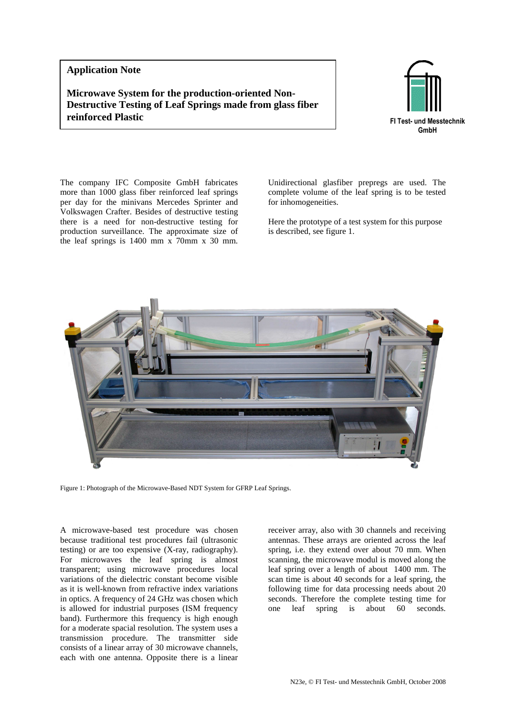## **Application Note**

**Microwave System for the production-oriented Non-Destructive Testing of Leaf Springs made from glass fiber reinforced Plastic FI Test- und Messtechnik** 



The company IFC Composite GmbH fabricates more than 1000 glass fiber reinforced leaf springs per day for the minivans Mercedes Sprinter and Volkswagen Crafter. Besides of destructive testing there is a need for non-destructive testing for production surveillance. The approximate size of the leaf springs is 1400 mm x 70mm x 30 mm.

Unidirectional glasfiber prepregs are used. The complete volume of the leaf spring is to be tested for inhomogeneities.

Here the prototype of a test system for this purpose is described, see figure 1.



Figure 1: Photograph of the Microwave-Based NDT System for GFRP Leaf Springs.

A microwave-based test procedure was chosen because traditional test procedures fail (ultrasonic testing) or are too expensive (X-ray, radiography). For microwaves the leaf spring is almost transparent; using microwave procedures local variations of the dielectric constant become visible as it is well-known from refractive index variations in optics. A frequency of 24 GHz was chosen which is allowed for industrial purposes (ISM frequency band). Furthermore this frequency is high enough for a moderate spacial resolution. The system uses a transmission procedure. The transmitter side consists of a linear array of 30 microwave channels, each with one antenna. Opposite there is a linear

receiver array, also with 30 channels and receiving antennas. These arrays are oriented across the leaf spring, i.e. they extend over about 70 mm. When scanning, the microwave modul is moved along the leaf spring over a length of about 1400 mm. The scan time is about 40 seconds for a leaf spring, the following time for data processing needs about 20 seconds. Therefore the complete testing time for one leaf spring is about 60 seconds.